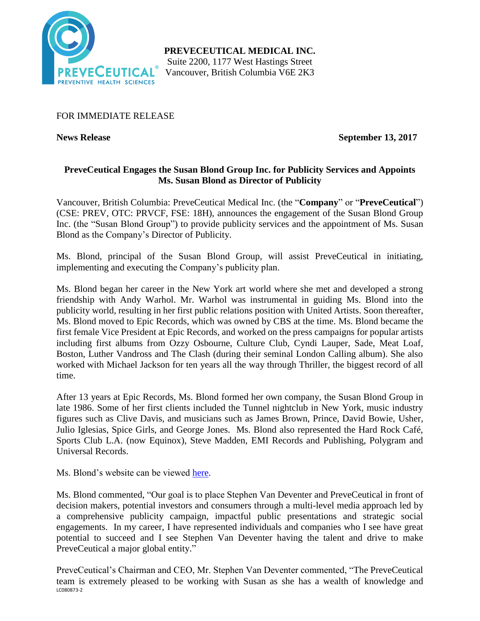

**PREVECEUTICAL MEDICAL INC.** Suite 2200, 1177 West Hastings Street Vancouver, British Columbia V6E 2K3

FOR IMMEDIATE RELEASE

**News Release September 13, 2017**

# **PreveCeutical Engages the Susan Blond Group Inc. for Publicity Services and Appoints Ms. Susan Blond as Director of Publicity**

Vancouver, British Columbia: PreveCeutical Medical Inc. (the "**Company**" or "**PreveCeutical**") (CSE: PREV, OTC: PRVCF, FSE: 18H), announces the engagement of the Susan Blond Group Inc. (the "Susan Blond Group") to provide publicity services and the appointment of Ms. Susan Blond as the Company's Director of Publicity.

Ms. Blond, principal of the Susan Blond Group, will assist PreveCeutical in initiating, implementing and executing the Company's publicity plan.

Ms. Blond began her career in the New York art world where she met and developed a strong friendship with Andy Warhol. Mr. Warhol was instrumental in guiding Ms. Blond into the publicity world, resulting in her first public relations position with United Artists. Soon thereafter, Ms. Blond moved to Epic Records, which was owned by CBS at the time. Ms. Blond became the first female Vice President at Epic Records, and worked on the press campaigns for popular artists including first albums from Ozzy Osbourne, Culture Club, Cyndi Lauper, Sade, Meat Loaf, Boston, Luther Vandross and The Clash (during their seminal London Calling album). She also worked with Michael Jackson for ten years all the way through Thriller, the biggest record of all time.

After 13 years at Epic Records, Ms. Blond formed her own company, the Susan Blond Group in late 1986. Some of her first clients included the Tunnel nightclub in New York, music industry figures such as Clive Davis, and musicians such as James Brown, Prince, David Bowie, Usher, Julio Iglesias, Spice Girls, and George Jones. Ms. Blond also represented the Hard Rock Café, Sports Club L.A. (now Equinox), Steve Madden, EMI Records and Publishing, Polygram and Universal Records.

Ms. Blond's website can be viewed [here.](http://www.susanblondgroupinc.com/)

Ms. Blond commented, "Our goal is to place Stephen Van Deventer and PreveCeutical in front of decision makers, potential investors and consumers through a multi-level media approach led by a comprehensive publicity campaign, impactful public presentations and strategic social engagements. In my career, I have represented individuals and companies who I see have great potential to succeed and I see Stephen Van Deventer having the talent and drive to make PreveCeutical a major global entity."

LC080873-2 PreveCeutical's Chairman and CEO, Mr. Stephen Van Deventer commented, "The PreveCeutical team is extremely pleased to be working with Susan as she has a wealth of knowledge and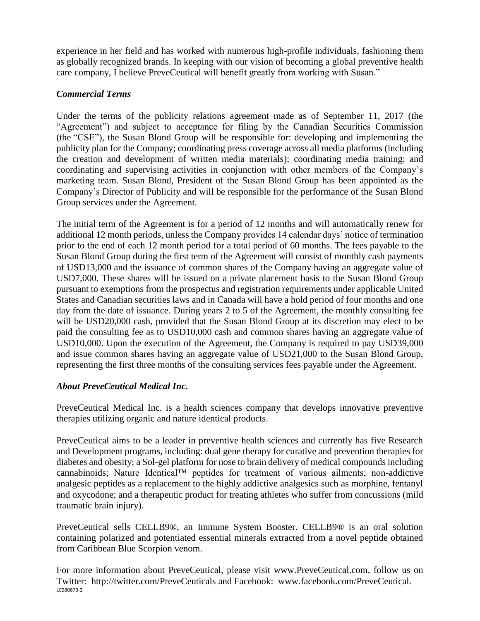experience in her field and has worked with numerous high-profile individuals, fashioning them as globally recognized brands. In keeping with our vision of becoming a global preventive health care company, I believe PreveCeutical will benefit greatly from working with Susan."

### *Commercial Terms*

Under the terms of the publicity relations agreement made as of September 11, 2017 (the "Agreement") and subject to acceptance for filing by the Canadian Securities Commission (the "CSE"), the Susan Blond Group will be responsible for: developing and implementing the publicity plan for the Company; coordinating press coverage across all media platforms (including the creation and development of written media materials); coordinating media training; and coordinating and supervising activities in conjunction with other members of the Company's marketing team. Susan Blond, President of the Susan Blond Group has been appointed as the Company's Director of Publicity and will be responsible for the performance of the Susan Blond Group services under the Agreement.

The initial term of the Agreement is for a period of 12 months and will automatically renew for additional 12 month periods, unless the Company provides 14 calendar days' notice of termination prior to the end of each 12 month period for a total period of 60 months. The fees payable to the Susan Blond Group during the first term of the Agreement will consist of monthly cash payments of USD13,000 and the issuance of common shares of the Company having an aggregate value of USD7,000. These shares will be issued on a private placement basis to the Susan Blond Group pursuant to exemptions from the prospectus and registration requirements under applicable United States and Canadian securities laws and in Canada will have a hold period of four months and one day from the date of issuance. During years 2 to 5 of the Agreement, the monthly consulting fee will be USD20,000 cash, provided that the Susan Blond Group at its discretion may elect to be paid the consulting fee as to USD10,000 cash and common shares having an aggregate value of USD10,000. Upon the execution of the Agreement, the Company is required to pay USD39,000 and issue common shares having an aggregate value of USD21,000 to the Susan Blond Group, representing the first three months of the consulting services fees payable under the Agreement.

## *About PreveCeutical Medical Inc.*

PreveCeutical Medical Inc. is a health sciences company that develops innovative preventive therapies utilizing organic and nature identical products.

PreveCeutical aims to be a leader in preventive health sciences and currently has five Research and Development programs, including: dual gene therapy for curative and prevention therapies for diabetes and obesity; a Sol-gel platform for nose to brain delivery of medical compounds including cannabinoids; Nature Identical™ peptides for treatment of various ailments; non-addictive analgesic peptides as a replacement to the highly addictive analgesics such as morphine, fentanyl and oxycodone; and a therapeutic product for treating athletes who suffer from concussions (mild traumatic brain injury).

PreveCeutical sells CELLB9®, an Immune System Booster. CELLB9® is an oral solution containing polarized and potentiated essential minerals extracted from a novel peptide obtained from Caribbean Blue Scorpion venom.

LC080873-2 For more information about PreveCeutical, please visit www.PreveCeutical.com, follow us on Twitter: http://twitter.com/PreveCeuticals and Facebook: www.facebook.com/PreveCeutical.